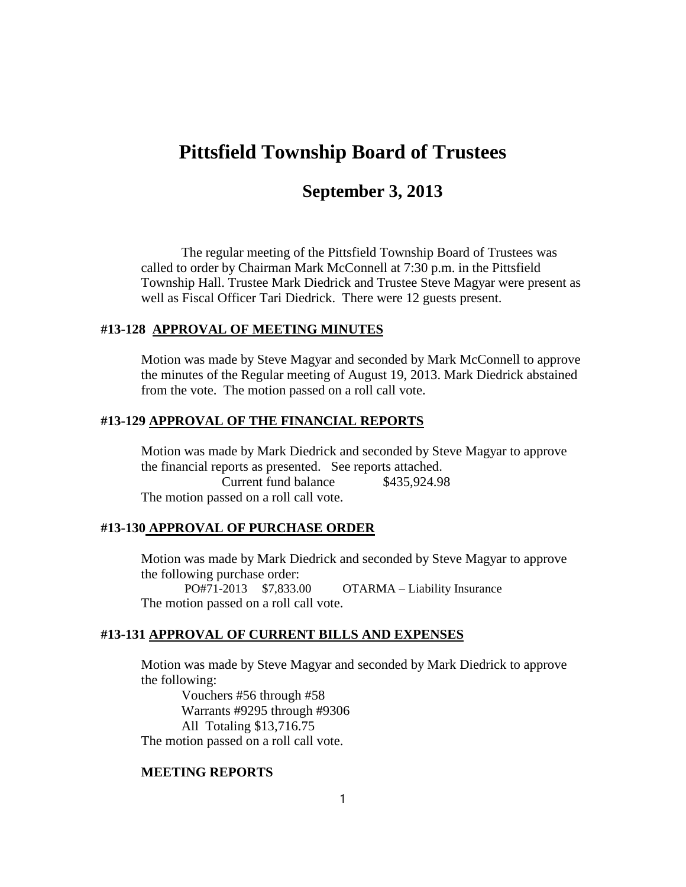# **Pittsfield Township Board of Trustees**

## **September 3, 2013**

The regular meeting of the Pittsfield Township Board of Trustees was called to order by Chairman Mark McConnell at 7:30 p.m. in the Pittsfield Township Hall. Trustee Mark Diedrick and Trustee Steve Magyar were present as well as Fiscal Officer Tari Diedrick. There were 12 guests present.

#### **#13-128 APPROVAL OF MEETING MINUTES**

Motion was made by Steve Magyar and seconded by Mark McConnell to approve the minutes of the Regular meeting of August 19, 2013. Mark Diedrick abstained from the vote. The motion passed on a roll call vote.

#### **#13-129 APPROVAL OF THE FINANCIAL REPORTS**

Motion was made by Mark Diedrick and seconded by Steve Magyar to approve the financial reports as presented. See reports attached. Current fund balance \$435,924.98 The motion passed on a roll call vote.

#### **#13-130 APPROVAL OF PURCHASE ORDER**

Motion was made by Mark Diedrick and seconded by Steve Magyar to approve the following purchase order:

PO#71-2013 \$7,833.00 OTARMA – Liability Insurance The motion passed on a roll call vote.

#### **#13-131 APPROVAL OF CURRENT BILLS AND EXPENSES**

Motion was made by Steve Magyar and seconded by Mark Diedrick to approve the following:

Vouchers #56 through #58 Warrants #9295 through #9306 All Totaling \$13,716.75 The motion passed on a roll call vote.

#### **MEETING REPORTS**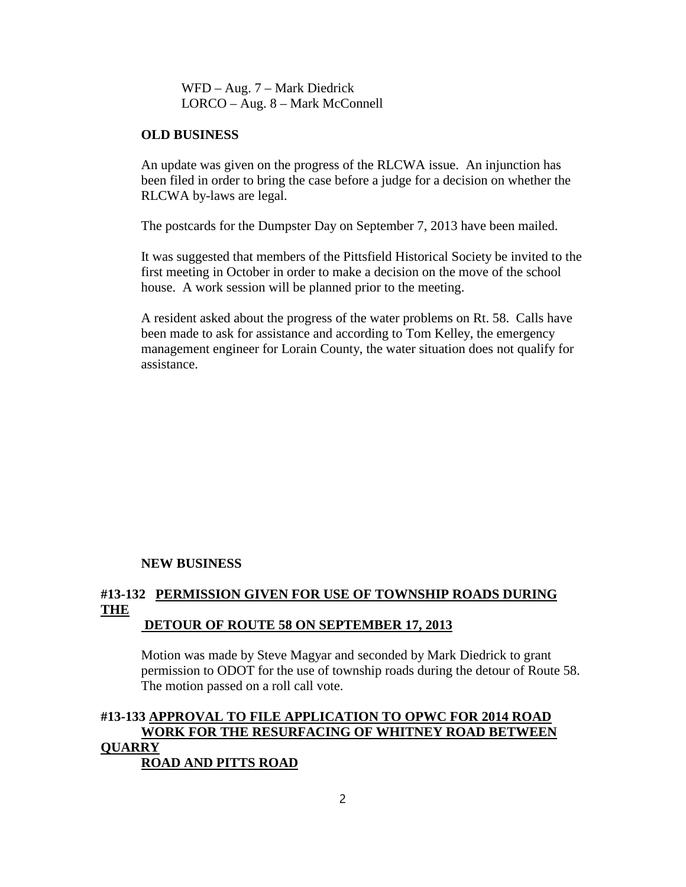WFD – Aug. 7 – Mark Diedrick LORCO – Aug. 8 – Mark McConnell

#### **OLD BUSINESS**

An update was given on the progress of the RLCWA issue. An injunction has been filed in order to bring the case before a judge for a decision on whether the RLCWA by-laws are legal.

The postcards for the Dumpster Day on September 7, 2013 have been mailed.

It was suggested that members of the Pittsfield Historical Society be invited to the first meeting in October in order to make a decision on the move of the school house. A work session will be planned prior to the meeting.

A resident asked about the progress of the water problems on Rt. 58. Calls have been made to ask for assistance and according to Tom Kelley, the emergency management engineer for Lorain County, the water situation does not qualify for assistance.

#### **NEW BUSINESS**

#### **#13-132 PERMISSION GIVEN FOR USE OF TOWNSHIP ROADS DURING THE DETOUR OF ROUTE 58 ON SEPTEMBER 17, 2013**

Motion was made by Steve Magyar and seconded by Mark Diedrick to grant permission to ODOT for the use of township roads during the detour of Route 58. The motion passed on a roll call vote.

## **#13-133 APPROVAL TO FILE APPLICATION TO OPWC FOR 2014 ROAD WORK FOR THE RESURFACING OF WHITNEY ROAD BETWEEN QUARRY ROAD AND PITTS ROAD**